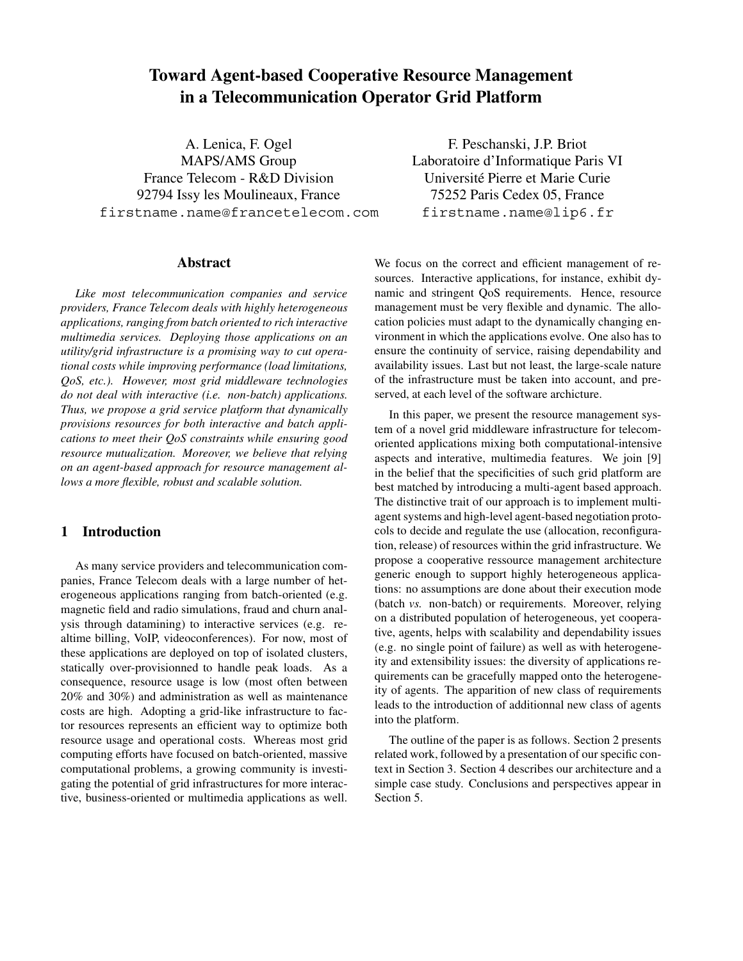# **Toward Agent-based Cooperative Resource Management in a Telecommunication Operator Grid Platform**

A. Lenica, F. Ogel MAPS/AMS Group France Telecom - R&D Division 92794 Issy les Moulineaux, France firstname.name@francetelecom.com

**Abstract**

*Like most telecommunication companies and service providers, France Telecom deals with highly heterogeneous applications, ranging from batch oriented to rich interactive multimedia services. Deploying those applications on an utility/grid infrastructure is a promising way to cut operational costs while improving performance (load limitations, QoS, etc.). However, most grid middleware technologies do not deal with interactive (i.e. non-batch) applications. Thus, we propose a grid service platform that dynamically provisions resources for both interactive and batch applications to meet their QoS constraints while ensuring good resource mutualization. Moreover, we believe that relying on an agent-based approach for resource management allows a more flexible, robust and scalable solution.*

# **1 Introduction**

As many service providers and telecommunication companies, France Telecom deals with a large number of heterogeneous applications ranging from batch-oriented (e.g. magnetic field and radio simulations, fraud and churn analysis through datamining) to interactive services (e.g. realtime billing, VoIP, videoconferences). For now, most of these applications are deployed on top of isolated clusters, statically over-provisionned to handle peak loads. As a consequence, resource usage is low (most often between 20% and 30%) and administration as well as maintenance costs are high. Adopting a grid-like infrastructure to factor resources represents an efficient way to optimize both resource usage and operational costs. Whereas most grid computing efforts have focused on batch-oriented, massive computational problems, a growing community is investigating the potential of grid infrastructures for more interactive, business-oriented or multimedia applications as well.

F. Peschanski, J.P. Briot Laboratoire d'Informatique Paris VI Université Pierre et Marie Curie 75252 Paris Cedex 05, France firstname.name@lip6.fr

We focus on the correct and efficient management of resources. Interactive applications, for instance, exhibit dynamic and stringent QoS requirements. Hence, resource management must be very flexible and dynamic. The allocation policies must adapt to the dynamically changing environment in which the applications evolve. One also has to ensure the continuity of service, raising dependability and availability issues. Last but not least, the large-scale nature of the infrastructure must be taken into account, and preserved, at each level of the software archicture.

In this paper, we present the resource management system of a novel grid middleware infrastructure for telecomoriented applications mixing both computational-intensive aspects and interative, multimedia features. We join [9] in the belief that the specificities of such grid platform are best matched by introducing a multi-agent based approach. The distinctive trait of our approach is to implement multiagent systems and high-level agent-based negotiation protocols to decide and regulate the use (allocation, reconfiguration, release) of resources within the grid infrastructure. We propose a cooperative ressource management architecture generic enough to support highly heterogeneous applications: no assumptions are done about their execution mode (batch *vs.* non-batch) or requirements. Moreover, relying on a distributed population of heterogeneous, yet cooperative, agents, helps with scalability and dependability issues (e.g. no single point of failure) as well as with heterogeneity and extensibility issues: the diversity of applications requirements can be gracefully mapped onto the heterogeneity of agents. The apparition of new class of requirements leads to the introduction of additionnal new class of agents into the platform.

The outline of the paper is as follows. Section 2 presents related work, followed by a presentation of our specific context in Section 3. Section 4 describes our architecture and a simple case study. Conclusions and perspectives appear in Section 5.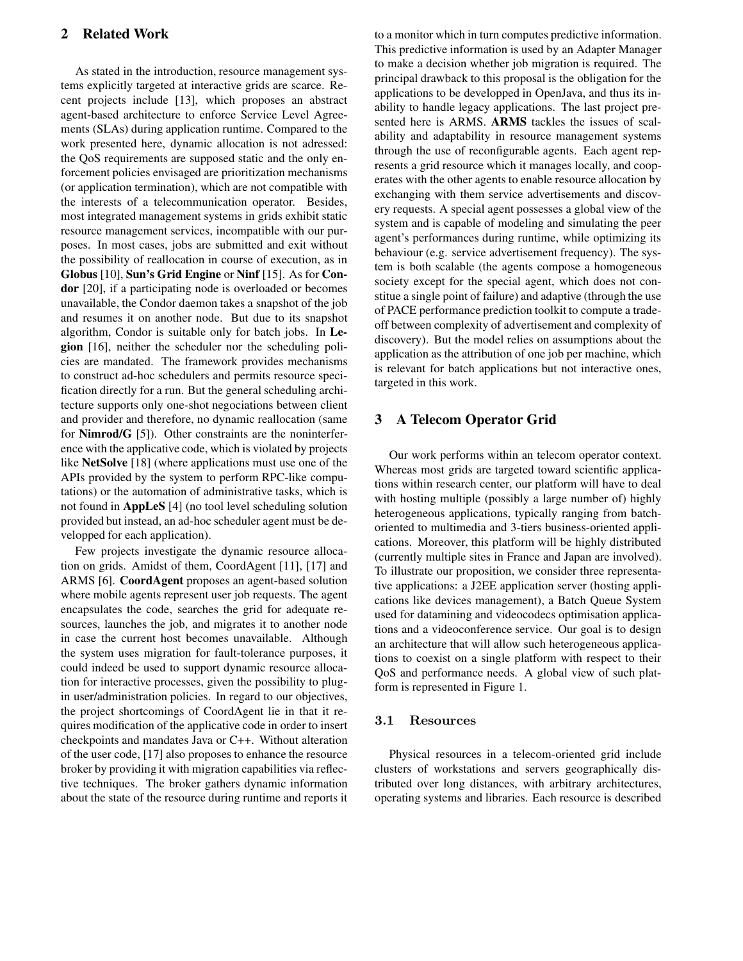# **2 Related Work**

As stated in the introduction, resource management systems explicitly targeted at interactive grids are scarce. Recent projects include [13], which proposes an abstract agent-based architecture to enforce Service Level Agreements (SLAs) during application runtime. Compared to the work presented here, dynamic allocation is not adressed: the QoS requirements are supposed static and the only enforcement policies envisaged are prioritization mechanisms (or application termination), which are not compatible with the interests of a telecommunication operator. Besides, most integrated management systems in grids exhibit static resource management services, incompatible with our purposes. In most cases, jobs are submitted and exit without the possibility of reallocation in course of execution, as in **Globus** [10], **Sun's Grid Engine** or **Ninf** [15]. As for **Condor** [20], if a participating node is overloaded or becomes unavailable, the Condor daemon takes a snapshot of the job and resumes it on another node. But due to its snapshot algorithm, Condor is suitable only for batch jobs. In **Legion** [16], neither the scheduler nor the scheduling policies are mandated. The framework provides mechanisms to construct ad-hoc schedulers and permits resource specification directly for a run. But the general scheduling architecture supports only one-shot negociations between client and provider and therefore, no dynamic reallocation (same for **Nimrod/G** [5]). Other constraints are the noninterference with the applicative code, which is violated by projects like **NetSolve** [18] (where applications must use one of the APIs provided by the system to perform RPC-like computations) or the automation of administrative tasks, which is not found in **AppLeS** [4] (no tool level scheduling solution provided but instead, an ad-hoc scheduler agent must be developped for each application).

Few projects investigate the dynamic resource allocation on grids. Amidst of them, CoordAgent [11], [17] and ARMS [6]. **CoordAgent** proposes an agent-based solution where mobile agents represent user job requests. The agent encapsulates the code, searches the grid for adequate resources, launches the job, and migrates it to another node in case the current host becomes unavailable. Although the system uses migration for fault-tolerance purposes, it could indeed be used to support dynamic resource allocation for interactive processes, given the possibility to plugin user/administration policies. In regard to our objectives, the project shortcomings of CoordAgent lie in that it requires modification of the applicative code in order to insert checkpoints and mandates Java or C++. Without alteration of the user code, [17] also proposes to enhance the resource broker by providing it with migration capabilities via reflective techniques. The broker gathers dynamic information about the state of the resource during runtime and reports it to a monitor which in turn computes predictive information. This predictive information is used by an Adapter Manager to make a decision whether job migration is required. The principal drawback to this proposal is the obligation for the applications to be developped in OpenJava, and thus its inability to handle legacy applications. The last project presented here is ARMS. **ARMS** tackles the issues of scalability and adaptability in resource management systems through the use of reconfigurable agents. Each agent represents a grid resource which it manages locally, and cooperates with the other agents to enable resource allocation by exchanging with them service advertisements and discovery requests. A special agent possesses a global view of the system and is capable of modeling and simulating the peer agent's performances during runtime, while optimizing its behaviour (e.g. service advertisement frequency). The system is both scalable (the agents compose a homogeneous society except for the special agent, which does not constitue a single point of failure) and adaptive (through the use of PACE performance prediction toolkit to compute a tradeoff between complexity of advertisement and complexity of discovery). But the model relies on assumptions about the application as the attribution of one job per machine, which is relevant for batch applications but not interactive ones, targeted in this work.

# **3 A Telecom Operator Grid**

Our work performs within an telecom operator context. Whereas most grids are targeted toward scientific applications within research center, our platform will have to deal with hosting multiple (possibly a large number of) highly heterogeneous applications, typically ranging from batchoriented to multimedia and 3-tiers business-oriented applications. Moreover, this platform will be highly distributed (currently multiple sites in France and Japan are involved). To illustrate our proposition, we consider three representative applications: a J2EE application server (hosting applications like devices management), a Batch Queue System used for datamining and videocodecs optimisation applications and a videoconference service. Our goal is to design an architecture that will allow such heterogeneous applications to coexist on a single platform with respect to their QoS and performance needs. A global view of such platform is represented in Figure 1.

### **3.1 Resources**

Physical resources in a telecom-oriented grid include clusters of workstations and servers geographically distributed over long distances, with arbitrary architectures, operating systems and libraries. Each resource is described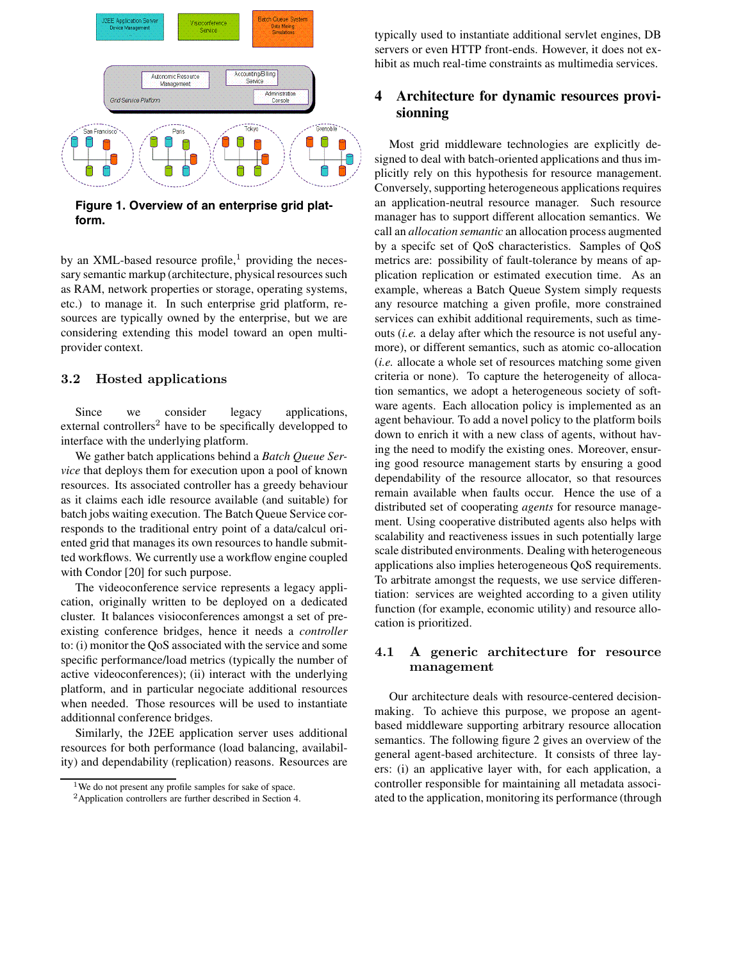

**Figure 1. Overview of an enterprise grid platform.**

by an XML-based resource profile, $1$  providing the necessary semantic markup (architecture, physical resources such as RAM, network properties or storage, operating systems, etc.) to manage it. In such enterprise grid platform, resources are typically owned by the enterprise, but we are considering extending this model toward an open multiprovider context.

# **3.2 Hosted applications**

Since we consider legacy applications, external controllers<sup>2</sup> have to be specifically developped to interface with the underlying platform.

We gather batch applications behind a *Batch Queue Service* that deploys them for execution upon a pool of known resources. Its associated controller has a greedy behaviour as it claims each idle resource available (and suitable) for batch jobs waiting execution. The Batch Queue Service corresponds to the traditional entry point of a data/calcul oriented grid that manages its own resources to handle submitted workflows. We currently use a workflow engine coupled with Condor [20] for such purpose.

The videoconference service represents a legacy application, originally written to be deployed on a dedicated cluster. It balances visioconferences amongst a set of preexisting conference bridges, hence it needs a *controller* to: (i) monitor the QoS associated with the service and some specific performance/load metrics (typically the number of active videoconferences); (ii) interact with the underlying platform, and in particular negociate additional resources when needed. Those resources will be used to instantiate additionnal conference bridges.

Similarly, the J2EE application server uses additional resources for both performance (load balancing, availability) and dependability (replication) reasons. Resources are typically used to instantiate additional servlet engines, DB servers or even HTTP front-ends. However, it does not exhibit as much real-time constraints as multimedia services.

# **4 Architecture for dynamic resources provisionning**

Most grid middleware technologies are explicitly designed to deal with batch-oriented applications and thus implicitly rely on this hypothesis for resource management. Conversely, supporting heterogeneous applications requires an application-neutral resource manager. Such resource manager has to support different allocation semantics. We call an *allocation semantic* an allocation process augmented by a specifc set of QoS characteristics. Samples of QoS metrics are: possibility of fault-tolerance by means of application replication or estimated execution time. As an example, whereas a Batch Queue System simply requests any resource matching a given profile, more constrained services can exhibit additional requirements, such as timeouts (*i.e.* a delay after which the resource is not useful anymore), or different semantics, such as atomic co-allocation (*i.e.* allocate a whole set of resources matching some given criteria or none). To capture the heterogeneity of allocation semantics, we adopt a heterogeneous society of software agents. Each allocation policy is implemented as an agent behaviour. To add a novel policy to the platform boils down to enrich it with a new class of agents, without having the need to modify the existing ones. Moreover, ensuring good resource management starts by ensuring a good dependability of the resource allocator, so that resources remain available when faults occur. Hence the use of a distributed set of cooperating *agents* for resource management. Using cooperative distributed agents also helps with scalability and reactiveness issues in such potentially large scale distributed environments. Dealing with heterogeneous applications also implies heterogeneous QoS requirements. To arbitrate amongst the requests, we use service differentiation: services are weighted according to a given utility function (for example, economic utility) and resource allocation is prioritized.

### **4.1 A generic architecture for resource management**

Our architecture deals with resource-centered decisionmaking. To achieve this purpose, we propose an agentbased middleware supporting arbitrary resource allocation semantics. The following figure 2 gives an overview of the general agent-based architecture. It consists of three layers: (i) an applicative layer with, for each application, a controller responsible for maintaining all metadata associated to the application, monitoring its performance (through

<sup>&</sup>lt;sup>1</sup>We do not present any profile samples for sake of space.

<sup>2</sup>Application controllers are further described in Section 4.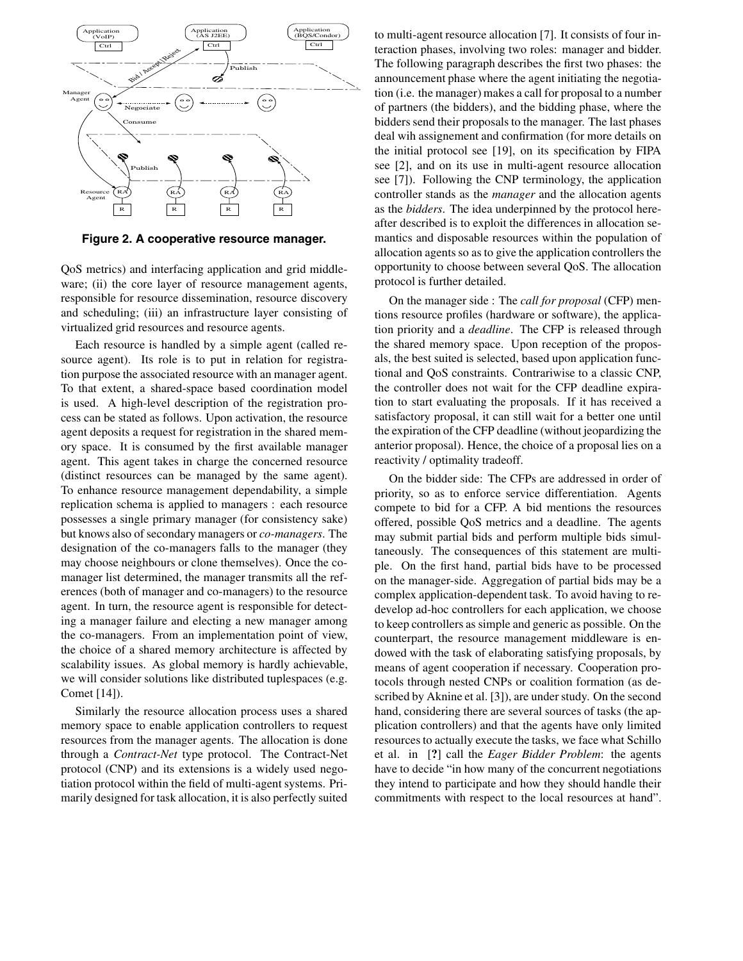

**Figure 2. A cooperative resource manager.**

QoS metrics) and interfacing application and grid middleware; (ii) the core layer of resource management agents, responsible for resource dissemination, resource discovery and scheduling; (iii) an infrastructure layer consisting of virtualized grid resources and resource agents.

Each resource is handled by a simple agent (called resource agent). Its role is to put in relation for registration purpose the associated resource with an manager agent. To that extent, a shared-space based coordination model is used. A high-level description of the registration process can be stated as follows. Upon activation, the resource agent deposits a request for registration in the shared memory space. It is consumed by the first available manager agent. This agent takes in charge the concerned resource (distinct resources can be managed by the same agent). To enhance resource management dependability, a simple replication schema is applied to managers : each resource possesses a single primary manager (for consistency sake) but knows also of secondary managers or *co-managers*. The designation of the co-managers falls to the manager (they may choose neighbours or clone themselves). Once the comanager list determined, the manager transmits all the references (both of manager and co-managers) to the resource agent. In turn, the resource agent is responsible for detecting a manager failure and electing a new manager among the co-managers. From an implementation point of view, the choice of a shared memory architecture is affected by scalability issues. As global memory is hardly achievable, we will consider solutions like distributed tuplespaces (e.g. Comet [14]).

Similarly the resource allocation process uses a shared memory space to enable application controllers to request resources from the manager agents. The allocation is done through a *Contract-Net* type protocol. The Contract-Net protocol (CNP) and its extensions is a widely used negotiation protocol within the field of multi-agent systems. Primarily designed for task allocation, it is also perfectly suited

to multi-agent resource allocation [7]. It consists of four interaction phases, involving two roles: manager and bidder. The following paragraph describes the first two phases: the announcement phase where the agent initiating the negotiation (i.e. the manager) makes a call for proposal to a number of partners (the bidders), and the bidding phase, where the bidders send their proposals to the manager. The last phases deal wih assignement and confirmation (for more details on the initial protocol see [19], on its specification by FIPA see [2], and on its use in multi-agent resource allocation see [7]). Following the CNP terminology, the application controller stands as the *manager* and the allocation agents as the *bidders*. The idea underpinned by the protocol hereafter described is to exploit the differences in allocation semantics and disposable resources within the population of allocation agents so as to give the application controllers the opportunity to choose between several QoS. The allocation protocol is further detailed.

On the manager side : The *call for proposal* (CFP) mentions resource profiles (hardware or software), the application priority and a *deadline*. The CFP is released through the shared memory space. Upon reception of the proposals, the best suited is selected, based upon application functional and QoS constraints. Contrariwise to a classic CNP, the controller does not wait for the CFP deadline expiration to start evaluating the proposals. If it has received a satisfactory proposal, it can still wait for a better one until the expiration of the CFP deadline (without jeopardizing the anterior proposal). Hence, the choice of a proposal lies on a reactivity / optimality tradeoff.

On the bidder side: The CFPs are addressed in order of priority, so as to enforce service differentiation. Agents compete to bid for a CFP. A bid mentions the resources offered, possible QoS metrics and a deadline. The agents may submit partial bids and perform multiple bids simultaneously. The consequences of this statement are multiple. On the first hand, partial bids have to be processed on the manager-side. Aggregation of partial bids may be a complex application-dependent task. To avoid having to redevelop ad-hoc controllers for each application, we choose to keep controllers as simple and generic as possible. On the counterpart, the resource management middleware is endowed with the task of elaborating satisfying proposals, by means of agent cooperation if necessary. Cooperation protocols through nested CNPs or coalition formation (as described by Aknine et al. [3]), are under study. On the second hand, considering there are several sources of tasks (the application controllers) and that the agents have only limited resources to actually execute the tasks, we face what Schillo et al. in [**?**] call the *Eager Bidder Problem*: the agents have to decide "in how many of the concurrent negotiations they intend to participate and how they should handle their commitments with respect to the local resources at hand".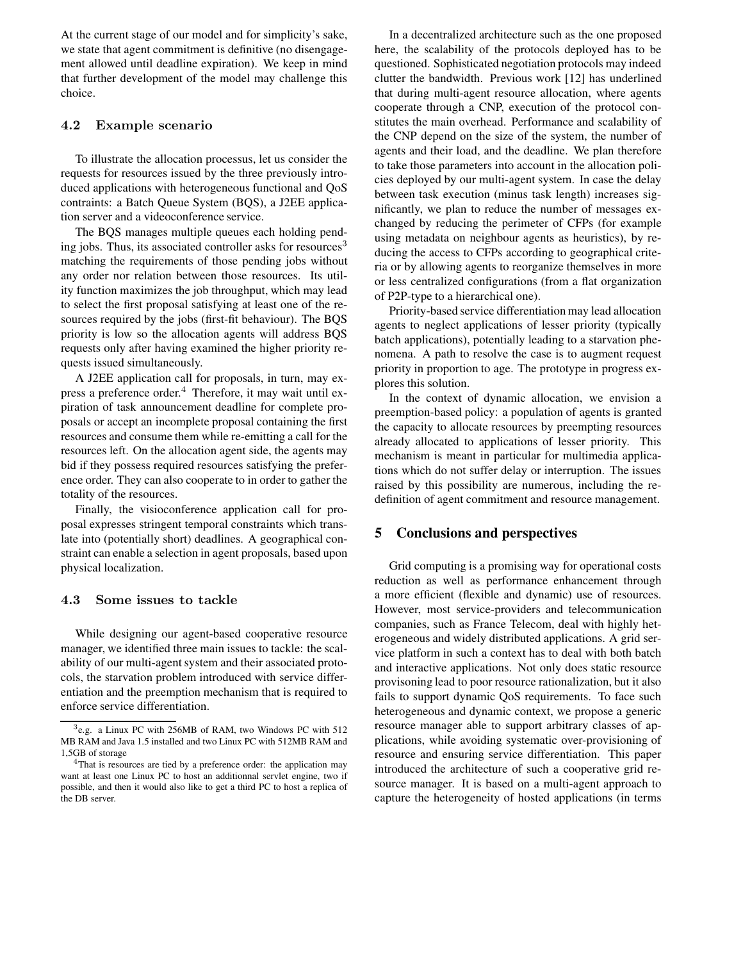At the current stage of our model and for simplicity's sake, we state that agent commitment is definitive (no disengagement allowed until deadline expiration). We keep in mind that further development of the model may challenge this choice.

### **4.2 Example scenario**

To illustrate the allocation processus, let us consider the requests for resources issued by the three previously introduced applications with heterogeneous functional and QoS contraints: a Batch Queue System (BQS), a J2EE application server and a videoconference service.

The BQS manages multiple queues each holding pending jobs. Thus, its associated controller asks for resources<sup>3</sup> matching the requirements of those pending jobs without any order nor relation between those resources. Its utility function maximizes the job throughput, which may lead to select the first proposal satisfying at least one of the resources required by the jobs (first-fit behaviour). The BQS priority is low so the allocation agents will address BQS requests only after having examined the higher priority requests issued simultaneously.

A J2EE application call for proposals, in turn, may express a preference order.<sup>4</sup> Therefore, it may wait until expiration of task announcement deadline for complete proposals or accept an incomplete proposal containing the first resources and consume them while re-emitting a call for the resources left. On the allocation agent side, the agents may bid if they possess required resources satisfying the preference order. They can also cooperate to in order to gather the totality of the resources.

Finally, the visioconference application call for proposal expresses stringent temporal constraints which translate into (potentially short) deadlines. A geographical constraint can enable a selection in agent proposals, based upon physical localization.

### **4.3 Some issues to tackle**

While designing our agent-based cooperative resource manager, we identified three main issues to tackle: the scalability of our multi-agent system and their associated protocols, the starvation problem introduced with service differentiation and the preemption mechanism that is required to enforce service differentiation.

In a decentralized architecture such as the one proposed here, the scalability of the protocols deployed has to be questioned. Sophisticated negotiation protocols may indeed clutter the bandwidth. Previous work [12] has underlined that during multi-agent resource allocation, where agents cooperate through a CNP, execution of the protocol constitutes the main overhead. Performance and scalability of the CNP depend on the size of the system, the number of agents and their load, and the deadline. We plan therefore to take those parameters into account in the allocation policies deployed by our multi-agent system. In case the delay between task execution (minus task length) increases significantly, we plan to reduce the number of messages exchanged by reducing the perimeter of CFPs (for example using metadata on neighbour agents as heuristics), by reducing the access to CFPs according to geographical criteria or by allowing agents to reorganize themselves in more or less centralized configurations (from a flat organization of P2P-type to a hierarchical one).

Priority-based service differentiation may lead allocation agents to neglect applications of lesser priority (typically batch applications), potentially leading to a starvation phenomena. A path to resolve the case is to augment request priority in proportion to age. The prototype in progress explores this solution.

In the context of dynamic allocation, we envision a preemption-based policy: a population of agents is granted the capacity to allocate resources by preempting resources already allocated to applications of lesser priority. This mechanism is meant in particular for multimedia applications which do not suffer delay or interruption. The issues raised by this possibility are numerous, including the redefinition of agent commitment and resource management.

# **5 Conclusions and perspectives**

Grid computing is a promising way for operational costs reduction as well as performance enhancement through a more efficient (flexible and dynamic) use of resources. However, most service-providers and telecommunication companies, such as France Telecom, deal with highly heterogeneous and widely distributed applications. A grid service platform in such a context has to deal with both batch and interactive applications. Not only does static resource provisoning lead to poor resource rationalization, but it also fails to support dynamic QoS requirements. To face such heterogeneous and dynamic context, we propose a generic resource manager able to support arbitrary classes of applications, while avoiding systematic over-provisioning of resource and ensuring service differentiation. This paper introduced the architecture of such a cooperative grid resource manager. It is based on a multi-agent approach to capture the heterogeneity of hosted applications (in terms

<sup>&</sup>lt;sup>3</sup>e.g. a Linux PC with 256MB of RAM, two Windows PC with 512 MB RAM and Java 1.5 installed and two Linux PC with 512MB RAM and 1,5GB of storage

<sup>&</sup>lt;sup>4</sup>That is resources are tied by a preference order: the application may want at least one Linux PC to host an additionnal servlet engine, two if possible, and then it would also like to get a third PC to host a replica of the DB server.